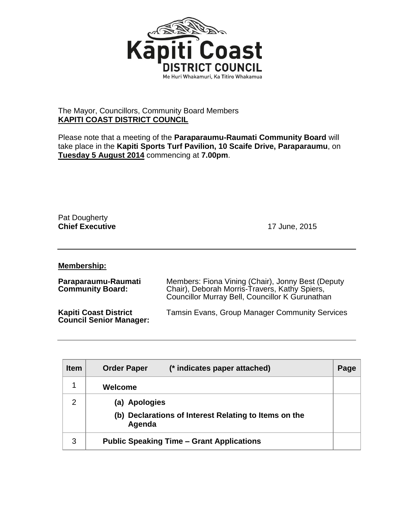

## The Mayor, Councillors, Community Board Members **KAPITI COAST DISTRICT COUNCIL**

Please note that a meeting of the **Paraparaumu-Raumati Community Board** will take place in the **Kapiti Sports Turf Pavilion, 10 Scaife Drive, Paraparaumu**, on **Tuesday 5 August 2014** commencing at **7.00pm**.

Pat Dougherty **Chief Executive** 17 June, 2015

**Membership:**

| Paraparaumu-Raumati<br><b>Community Board:</b>                 | Members: Fiona Vining (Chair), Jonny Best (Deputy<br>Chair), Deborah Morris-Travers, Kathy Spiers,<br>Councillor Murray Bell, Councillor K Gurunathan |
|----------------------------------------------------------------|-------------------------------------------------------------------------------------------------------------------------------------------------------|
| <b>Kapiti Coast District</b><br><b>Council Senior Manager:</b> | <b>Tamsin Evans, Group Manager Community Services</b>                                                                                                 |

| <b>Item</b>   | (* indicates paper attached)<br><b>Order Paper</b>              | Page |
|---------------|-----------------------------------------------------------------|------|
|               | Welcome                                                         |      |
| $\mathcal{P}$ | (a) Apologies                                                   |      |
|               | (b) Declarations of Interest Relating to Items on the<br>Agenda |      |
| 3             | <b>Public Speaking Time – Grant Applications</b>                |      |